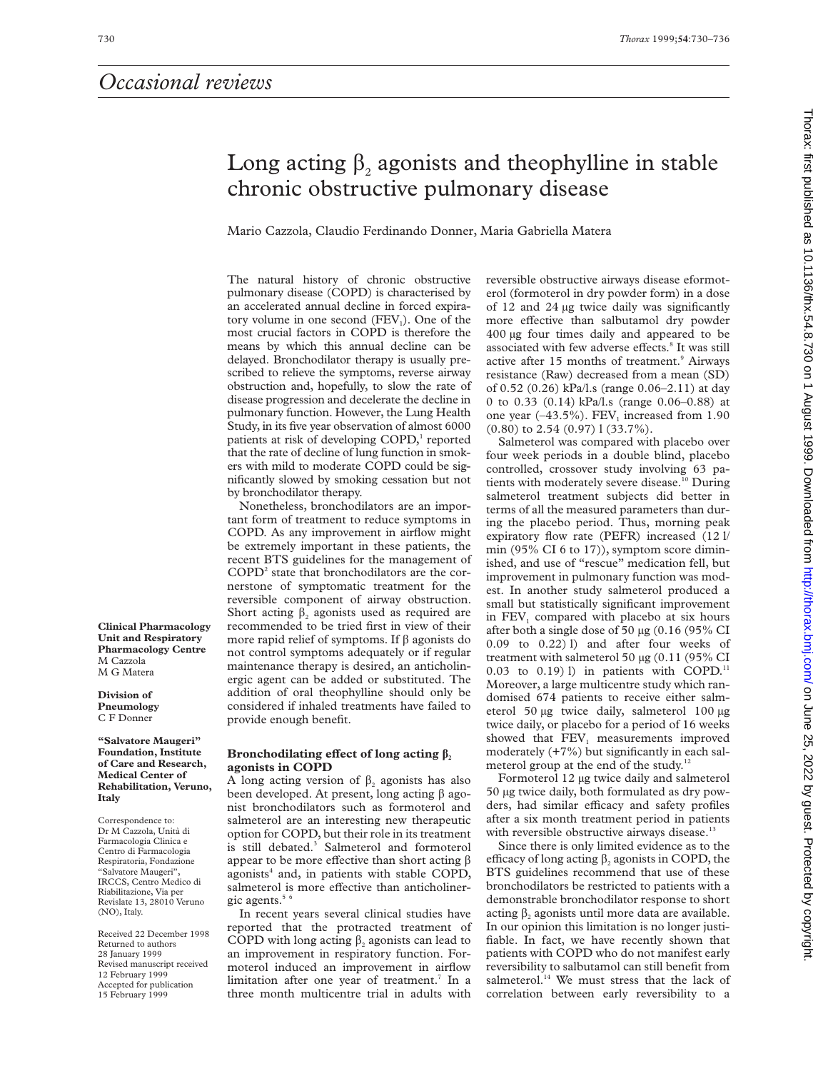# Long acting  $\beta$ , agonists and theophylline in stable chronic obstructive pulmonary disease

Mario Cazzola, Claudio Ferdinando Donner, Maria Gabriella Matera

The natural history of chronic obstructive pulmonary disease (COPD) is characterised by an accelerated annual decline in forced expiratory volume in one second  $(FEV_1)$ . One of the most crucial factors in COPD is therefore the means by which this annual decline can be delayed. Bronchodilator therapy is usually prescribed to relieve the symptoms, reverse airway obstruction and, hopefully, to slow the rate of disease progression and decelerate the decline in pulmonary function. However, the Lung Health Study, in its five year observation of almost 6000 patients at risk of developing COPD,<sup>1</sup> reported that the rate of decline of lung function in smokers with mild to moderate COPD could be significantly slowed by smoking cessation but not by bronchodilator therapy.

Nonetheless, bronchodilators are an important form of treatment to reduce symptoms in COPD. As any improvement in airflow might be extremely important in these patients, the recent BTS guidelines for the management of  $COPD<sup>2</sup>$  state that bronchodilators are the cornerstone of symptomatic treatment for the reversible component of airway obstruction. Short acting  $\beta_2$  agonists used as required are recommended to be tried first in view of their more rapid relief of symptoms. If  $\beta$  agonists do not control symptoms adequately or if regular maintenance therapy is desired, an anticholinergic agent can be added or substituted. The addition of oral theophylline should only be considered if inhaled treatments have failed to provide enough benefit.

**Clinical Pharmacology Unit and Respiratory Pharmacology Centre** M Cazzola M G Matera

**Division of Pneumology** C F Donner

**"Salvatore Maugeri" Foundation, Institute of Care and Research, Medical Center of Rehabilitation, Veruno, Italy**

Correspondence to: Dr M Cazzola, Unità di Farmacologia Clinica e Centro di Farmacologia Respiratoria, Fondazione "Salvatore Maugeri", IRCCS, Centro Medico di Riabilitazione, Via per Revislate 13, 28010 Veruno (NO), Italy.

Received 22 December 1998 Returned to authors 28 January 1999 Revised manuscript received 12 February 1999 Accepted for publication 15 February 1999

## Bronchodilating effect of long acting  $\beta$ , **agonists in COPD**

A long acting version of  $\beta_2$  agonists has also been developed. At present, long acting  $\beta$  agonist bronchodilators such as formoterol and salmeterol are an interesting new therapeutic option for COPD, but their role in its treatment is still debated.<sup>3</sup> Salmeterol and formoterol appear to be more effective than short acting  $\beta$ agonists $4$  and, in patients with stable COPD, salmeterol is more effective than anticholinergic agents.<sup>5</sup>

In recent years several clinical studies have reported that the protracted treatment of COPD with long acting  $\beta_2$  agonists can lead to an improvement in respiratory function. Formoterol induced an improvement in airflow limitation after one year of treatment.<sup>7</sup> In a three month multicentre trial in adults with

reversible obstructive airways disease eformoterol (formoterol in dry powder form) in a dose of 12 and 24 µg twice daily was significantly more effective than salbutamol dry powder 400 µg four times daily and appeared to be associated with few adverse effects.<sup>8</sup> It was still active after 15 months of treatment.<sup>9</sup> Airways resistance (Raw) decreased from a mean (SD) of 0.52 (0.26) kPa/l.s (range 0.06–2.11) at day 0 to 0.33 (0.14) kPa/l.s (range 0.06–0.88) at one year  $(-43.5\%)$ . FEV<sub>1</sub> increased from 1.90 (0.80) to 2.54 (0.97) l (33.7%).

Salmeterol was compared with placebo over four week periods in a double blind, placebo controlled, crossover study involving 63 patients with moderately severe disease.<sup>10</sup> During salmeterol treatment subjects did better in terms of all the measured parameters than during the placebo period. Thus, morning peak expiratory flow rate (PEFR) increased (12 l/ min (95% CI 6 to 17)), symptom score diminished, and use of "rescue" medication fell, but improvement in pulmonary function was modest. In another study salmeterol produced a small but statistically significant improvement in FEV<sub>1</sub> compared with placebo at six hours after both a single dose of 50 µg (0.16 (95% CI 0.09 to 0.22) l) and after four weeks of treatment with salmeterol 50 µg (0.11 (95% CI 0.03 to 0.19) l) in patients with COPD.<sup>11</sup> Moreover, a large multicentre study which randomised 674 patients to receive either salmeterol 50 µg twice daily, salmeterol 100 µg twice daily, or placebo for a period of 16 weeks showed that FEV<sub>1</sub> measurements improved moderately (+7%) but significantly in each salmeterol group at the end of the study.<sup>12</sup>

Formoterol 12 µg twice daily and salmeterol 50 µg twice daily, both formulated as dry powders, had similar efficacy and safety profiles after a six month treatment period in patients with reversible obstructive airways disease.<sup>13</sup>

Since there is only limited evidence as to the efficacy of long acting  $\beta_2$  agonists in COPD, the BTS guidelines recommend that use of these bronchodilators be restricted to patients with a demonstrable bronchodilator response to short acting  $\beta_2$  agonists until more data are available. In our opinion this limitation is no longer justifiable. In fact, we have recently shown that patients with COPD who do not manifest early reversibility to salbutamol can still benefit from salmeterol.<sup>14</sup> We must stress that the lack of correlation between early reversibility to a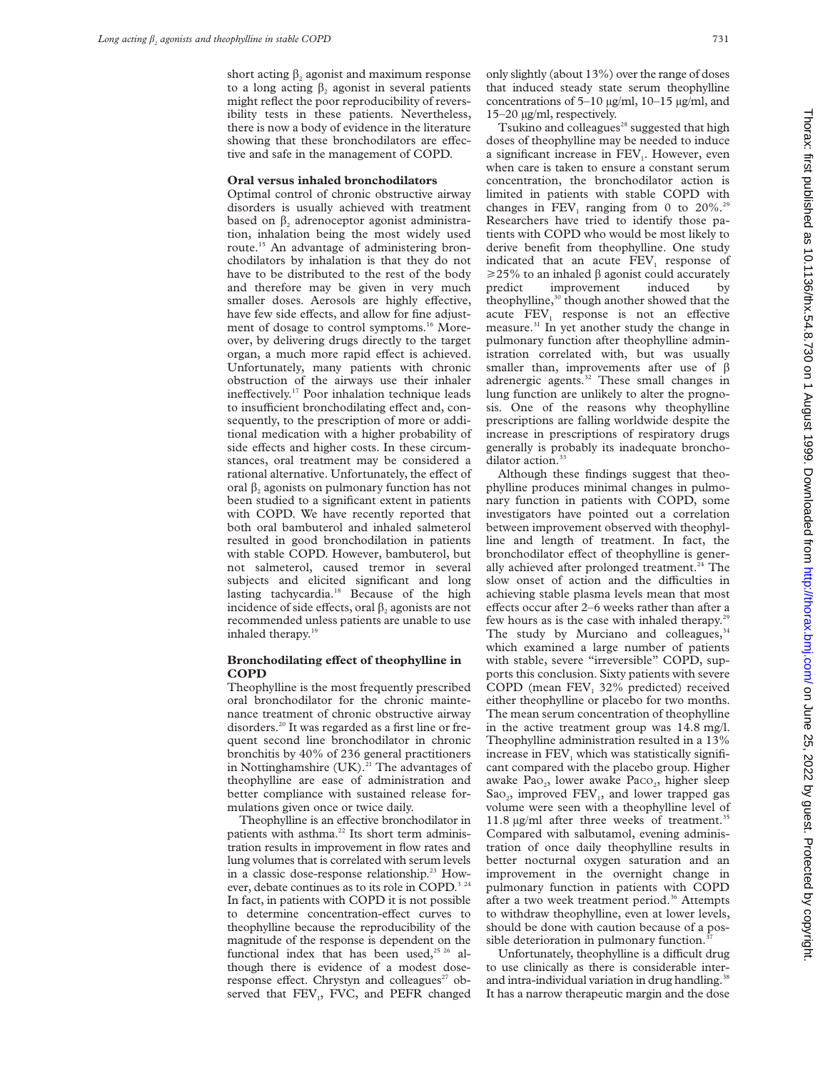short acting  $\beta_2$  agonist and maximum response to a long acting  $\beta$ , agonist in several patients might reflect the poor reproducibility of reversibility tests in these patients. Nevertheless, there is now a body of evidence in the literature showing that these bronchodilators are effective and safe in the management of COPD.

#### **Oral versus inhaled bronchodilators**

Optimal control of chronic obstructive airway disorders is usually achieved with treatment based on  $\beta$ , adrenoceptor agonist administration, inhalation being the most widely used route.15 An advantage of administering bronchodilators by inhalation is that they do not have to be distributed to the rest of the body and therefore may be given in very much smaller doses. Aerosols are highly effective, have few side effects, and allow for fine adjustment of dosage to control symptoms.<sup>16</sup> Moreover, by delivering drugs directly to the target organ, a much more rapid effect is achieved. Unfortunately, many patients with chronic obstruction of the airways use their inhaler ineffectively.<sup>17</sup> Poor inhalation technique leads to insufficient bronchodilating effect and, consequently, to the prescription of more or additional medication with a higher probability of side effects and higher costs. In these circumstances, oral treatment may be considered a rational alternative. Unfortunately, the effect of oral  $\beta$ , agonists on pulmonary function has not been studied to a significant extent in patients with COPD. We have recently reported that both oral bambuterol and inhaled salmeterol resulted in good bronchodilation in patients with stable COPD. However, bambuterol, but not salmeterol, caused tremor in several subjects and elicited significant and long lasting tachycardia.18 Because of the high incidence of side effects, oral  $\beta_2$  agonists are not recommended unless patients are unable to use inhaled therapy.<sup>19</sup>

## **Bronchodilating effect of theophylline in COPD**

Theophylline is the most frequently prescribed oral bronchodilator for the chronic maintenance treatment of chronic obstructive airway disorders.20 It was regarded as a first line or frequent second line bronchodilator in chronic bronchitis by 40% of 236 general practitioners in Nottinghamshire  $(UK)$ .<sup>21</sup> The advantages of theophylline are ease of administration and better compliance with sustained release formulations given once or twice daily.

Theophylline is an effective bronchodilator in patients with asthma.<sup>22</sup> Its short term administration results in improvement in flow rates and lung volumes that is correlated with serum levels in a classic dose-response relationship.<sup>23</sup> However, debate continues as to its role in COPD.<sup>3 24</sup> In fact, in patients with COPD it is not possible to determine concentration-effect curves to theophylline because the reproducibility of the magnitude of the response is dependent on the functional index that has been used,<sup>25 26</sup> although there is evidence of a modest doseresponse effect. Chrystyn and colleagues<sup>27</sup> observed that FEV<sub>1</sub>, FVC, and PEFR changed

only slightly (about 13%) over the range of doses that induced steady state serum theophylline concentrations of 5–10 µg/ml, 10–15 µg/ml, and 15–20 µg/ml, respectively.

Tsukino and colleagues<sup>28</sup> suggested that high doses of theophylline may be needed to induce a significant increase in FEV<sub>1</sub>. However, even when care is taken to ensure a constant serum concentration, the bronchodilator action is limited in patients with stable COPD with changes in  $FEV_1$  ranging from 0 to 20%.<sup>29</sup> Researchers have tried to identify those patients with COPD who would be most likely to derive benefit from theophylline. One study indicated that an acute FEV<sub>1</sub> response of  $\geq$ 25% to an inhaled  $\beta$  agonist could accurately predict improvement induced by theophylline,<sup>30</sup> though another showed that the acute  $FEV<sub>1</sub>$  response is not an effective measure.<sup>31</sup> In yet another study the change in pulmonary function after theophylline administration correlated with, but was usually smaller than, improvements after use of  $\beta$ adrenergic agents.32 These small changes in lung function are unlikely to alter the prognosis. One of the reasons why theophylline prescriptions are falling worldwide despite the increase in prescriptions of respiratory drugs generally is probably its inadequate bronchodilator action.<sup>33</sup>

Although these findings suggest that theophylline produces minimal changes in pulmonary function in patients with COPD, some investigators have pointed out a correlation between improvement observed with theophylline and length of treatment. In fact, the bronchodilator effect of theophylline is generally achieved after prolonged treatment.<sup>24</sup> The slow onset of action and the difficulties in achieving stable plasma levels mean that most effects occur after 2–6 weeks rather than after a few hours as is the case with inhaled therapy.<sup>2</sup> The study by Murciano and colleagues,  $34$ which examined a large number of patients with stable, severe "irreversible" COPD, supports this conclusion. Sixty patients with severe COPD (mean FEV<sub>1</sub> 32% predicted) received either theophylline or placebo for two months. The mean serum concentration of theophylline in the active treatment group was 14.8 mg/l. Theophylline administration resulted in a 13% increase in FEV<sub>1</sub> which was statistically significant compared with the placebo group. Higher awake Pa $O_2$ , lower awake Pa $CO_2$ , higher sleep  $Sao<sub>2</sub>$ , improved  $FEV<sub>1</sub>$ , and lower trapped gas volume were seen with a theophylline level of 11.8  $\mu$ g/ml after three weeks of treatment.<sup>35</sup> Compared with salbutamol, evening administration of once daily theophylline results in better nocturnal oxygen saturation and an improvement in the overnight change in pulmonary function in patients with COPD after a two week treatment period.<sup>36</sup> Attempts to withdraw theophylline, even at lower levels, should be done with caution because of a possible deterioration in pulmonary function.<sup>3</sup>

Unfortunately, theophylline is a difficult drug to use clinically as there is considerable interand intra-individual variation in drug handling.<sup>38</sup> It has a narrow therapeutic margin and the dose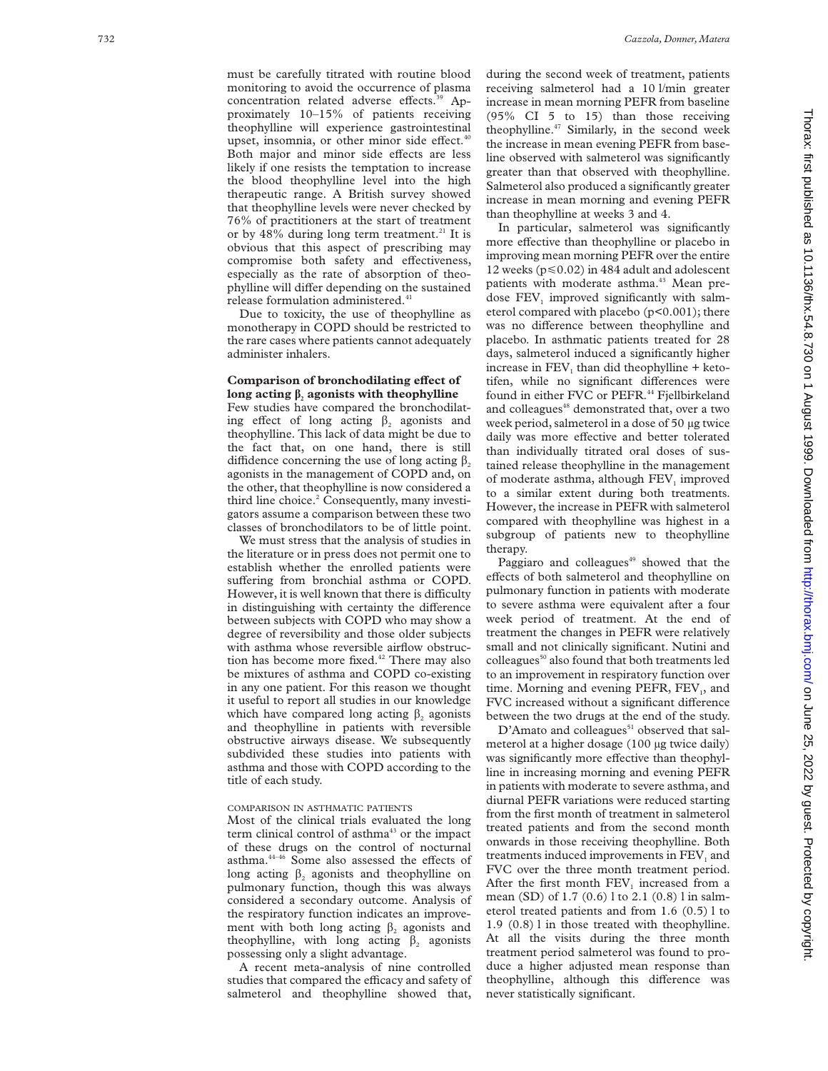must be carefully titrated with routine blood monitoring to avoid the occurrence of plasma concentration related adverse effects.<sup>39</sup> Approximately 10–15% of patients receiving theophylline will experience gastrointestinal upset, insomnia, or other minor side effect.<sup>40</sup> Both major and minor side effects are less likely if one resists the temptation to increase the blood theophylline level into the high therapeutic range. A British survey showed that theophylline levels were never checked by 76% of practitioners at the start of treatment or by  $48\%$  during long term treatment.<sup>21</sup> It is obvious that this aspect of prescribing may compromise both safety and effectiveness, especially as the rate of absorption of theo-

release formulation administered.<sup>41</sup> Due to toxicity, the use of theophylline as monotherapy in COPD should be restricted to the rare cases where patients cannot adequately administer inhalers.

phylline will differ depending on the sustained

## **Comparison of bronchodilating effect of** long acting  $\beta$ <sub>2</sub> agonists with theophylline

Few studies have compared the bronchodilating effect of long acting  $\beta$ , agonists and theophylline. This lack of data might be due to the fact that, on one hand, there is still diffidence concerning the use of long acting  $\beta_2$ agonists in the management of COPD and, on the other, that theophylline is now considered a third line choice. <sup>2</sup> Consequently, many investigators assume a comparison between these two classes of bronchodilators to be of little point.

We must stress that the analysis of studies in the literature or in press does not permit one to establish whether the enrolled patients were suffering from bronchial asthma or COPD. However, it is well known that there is difficulty in distinguishing with certainty the difference between subjects with COPD who may show a degree of reversibility and those older subjects with asthma whose reversible airflow obstruction has become more fixed.<sup>42</sup> There may also be mixtures of asthma and COPD co-existing in any one patient. For this reason we thought it useful to report all studies in our knowledge which have compared long acting  $\beta_2$  agonists and theophylline in patients with reversible obstructive airways disease. We subsequently subdivided these studies into patients with asthma and those with COPD according to the title of each study.

#### COMPARISON IN ASTHMATIC PATIENTS

Most of the clinical trials evaluated the long term clinical control of asthma<sup>43</sup> or the impact of these drugs on the control of nocturnal asthma.<sup>44-46</sup> Some also assessed the effects of long acting  $\beta_2$  agonists and theophylline on pulmonary function, though this was always considered a secondary outcome. Analysis of the respiratory function indicates an improvement with both long acting  $\beta_2$  agonists and theophylline, with long acting  $\beta_2$  agonists possessing only a slight advantage.

A recent meta-analysis of nine controlled studies that compared the efficacy and safety of salmeterol and theophylline showed that, during the second week of treatment, patients receiving salmeterol had a 10 l/min greater increase in mean morning PEFR from baseline (95% CI 5 to 15) than those receiving theophylline.<sup>47</sup> Similarly, in the second week the increase in mean evening PEFR from baseline observed with salmeterol was significantly greater than that observed with theophylline. Salmeterol also produced a significantly greater increase in mean morning and evening PEFR than theophylline at weeks 3 and 4.

In particular, salmeterol was significantly more effective than theophylline or placebo in improving mean morning PEFR over the entire 12 weeks ( $p \le 0.02$ ) in 484 adult and adolescent patients with moderate asthma.<sup>43</sup> Mean predose  $FEV<sub>1</sub>$  improved significantly with salmeterol compared with placebo (p<0.001); there was no difference between theophylline and placebo. In asthmatic patients treated for 28 days, salmeterol induced a significantly higher increase in FEV <sup>1</sup> than did theophylline + ketotifen, while no significant differences were found in either FVC or PEFR.<sup>44</sup> Fjellbirkeland and colleagues<sup>48</sup> demonstrated that, over a two week period, salmeterol in a dose of 50 µg twice daily was more effective and better tolerated than individually titrated oral doses of sustained release theophylline in the management of moderate asthma, although FEV <sup>1</sup> improved to a similar extent during both treatments. However, the increase in PEFR with salmeterol compared with theophylline was highest in a subgroup of patients new to theophylline therapy.

Paggiaro and colleagues<sup>49</sup> showed that the effects of both salmeterol and theophylline on pulmonary function in patients with moderate to severe asthma were equivalent after a four week period of treatment. At the end of treatment the changes in PEFR were relatively small and not clinically significant. Nutini and colleagues<sup>50</sup> also found that both treatments led to an improvement in respiratory function over time. Morning and evening PEFR, FEV<sub>1</sub>, and FVC increased without a significant difference between the two drugs at the end of the study.

D'Amato and colleagues<sup>51</sup> observed that salmeterol at a higher dosage (100 µg twice daily) was significantly more effective than theophylline in increasing morning and evening PEFR in patients with moderate to severe asthma, and diurnal PEFR variations were reduced starting from the first month of treatment in salmeterol treated patients and from the second month onwards in those receiving theophylline. Both treatments induced improvements in FEV <sup>1</sup> and FVC over the three month treatment period. After the first month FEV <sup>1</sup> increased from a mean (SD) of 1.7 (0.6) l to 2.1 (0.8) l in salmeterol treated patients and from 1.6 (0.5) l to 1.9 (0.8) l in those treated with theophylline. At all the visits during the three month treatment period salmeterol was found to produce a higher adjusted mean response than theophylline, although this difference was never statistically significant.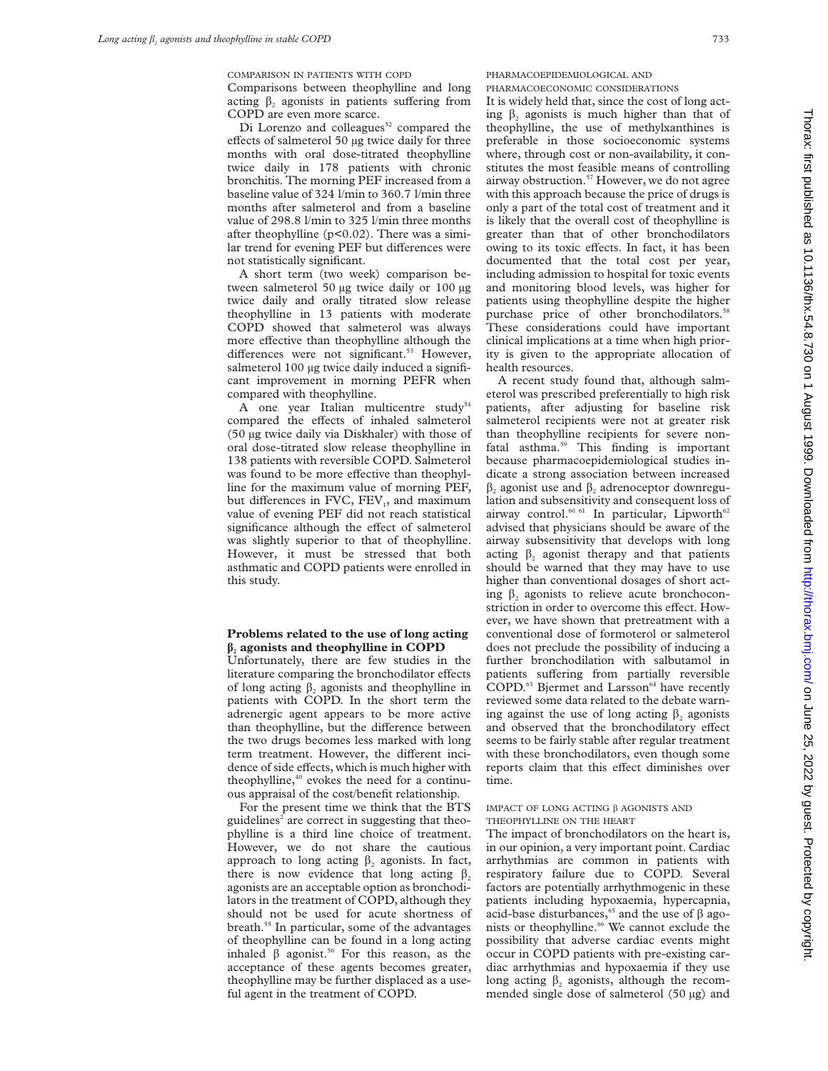COMPARISON IN PATIENTS WITH COPD

Comparisons between theophylline and long acting  $\beta$ , agonists in patients suffering from COPD are even more scarce.

Di Lorenzo and colleagues<sup>52</sup> compared the effects of salmeterol 50 µg twice daily for three months with oral dose-titrated theophylline twice daily in 178 patients with chronic bronchitis. The morning PEF increased from a baseline value of 324 l/min to 360.7 l/min three months after salmeterol and from a baseline value of 298.8 l/min to 325 l/min three months after theophylline (p<0.02). There was a similar trend for evening PEF but differences were not statistically significant.

A short term (two week) comparison between salmeterol 50 µg twice daily or 100 µg twice daily and orally titrated slow release theophylline in 13 patients with moderate COPD showed that salmeterol was always more effective than theophylline although the differences were not significant.<sup>53</sup> However, salmeterol 100 µg twice daily induced a significant improvement in morning PEFR when compared with theophylline.

A one year Italian multicentre study<sup>54</sup> compared the effects of inhaled salmeterol (50 µg twice daily via Diskhaler) with those of oral dose-titrated slow release theophylline in 138 patients with reversible COPD. Salmeterol was found to be more effective than theophylline for the maximum value of morning PEF, but differences in FVC, FEV<sub>1</sub>, and maximum value of evening PEF did not reach statistical significance although the effect of salmeterol was slightly superior to that of theophylline. However, it must be stressed that both asthmatic and COPD patients were enrolled in this study.

## **Problems related to the use of long acting â<sup>2</sup> agonists and theophylline in COPD**

Unfortunately, there are few studies in the literature comparing the bronchodilator effects of long acting  $\beta$ , agonists and theophylline in patients with COPD. In the short term the adrenergic agent appears to be more active than theophylline, but the difference between the two drugs becomes less marked with long term treatment. However, the different incidence of side effects, which is much higher with theophylline,<sup>40</sup> evokes the need for a continuous appraisal of the cost/benefit relationship.

For the present time we think that the BTS guidelines<sup>2</sup> are correct in suggesting that theophylline is a third line choice of treatment. However, we do not share the cautious approach to long acting  $\beta$ , agonists. In fact, there is now evidence that long acting  $\beta$ , agonists are an acceptable option as bronchodilators in the treatment of COPD, although they should not be used for acute shortness of breath.55 In particular, some of the advantages of theophylline can be found in a long acting inhaled  $\beta$  agonist.<sup>56</sup> For this reason, as the acceptance of these agents becomes greater, theophylline may be further displaced as a useful agent in the treatment of COPD.

PHARMACOEPIDEMIOLOGICAL AND PHARMACOECONOMIC CONSIDERATIONS

It is widely held that, since the cost of long acting  $\beta$ , agonists is much higher than that of theophylline, the use of methylxanthines is preferable in those socioeconomic systems where, through cost or non-availability, it constitutes the most feasible means of controlling airway obstruction.57 However, we do not agree with this approach because the price of drugs is only a part of the total cost of treatment and it is likely that the overall cost of theophylline is greater than that of other bronchodilators owing to its toxic effects. In fact, it has been documented that the total cost per year, including admission to hospital for toxic events and monitoring blood levels, was higher for patients using theophylline despite the higher purchase price of other bronchodilators.<sup>5</sup> These considerations could have important clinical implications at a time when high priority is given to the appropriate allocation of health resources.

A recent study found that, although salmeterol was prescribed preferentially to high risk patients, after adjusting for baseline risk salmeterol recipients were not at greater risk than theophylline recipients for severe nonfatal asthma.59 This finding is important because pharmacoepidemiological studies indicate a strong association between increased  $\beta$ , agonist use and  $\beta$ , adrenoceptor downregulation and subsensitivity and consequent loss of airway control.<sup>60 61</sup> In particular, Lipworth<sup>62</sup> advised that physicians should be aware of the airway subsensitivity that develops with long acting  $\beta$ , agonist therapy and that patients should be warned that they may have to use higher than conventional dosages of short acting  $\beta_2$  agonists to relieve acute bronchoconstriction in order to overcome this effect. However, we have shown that pretreatment with a conventional dose of formoterol or salmeterol does not preclude the possibility of inducing a further bronchodilation with salbutamol in patients suffering from partially reversible COPD.<sup>63</sup> Bjermet and Larsson<sup>64</sup> have recently reviewed some data related to the debate warning against the use of long acting  $\beta$ , agonists and observed that the bronchodilatory effect seems to be fairly stable after regular treatment with these bronchodilators, even though some reports claim that this effect diminishes over time.

#### IMPACT OF LONG ACTING â AGONISTS AND THEOPHYLLINE ON THE HEART

The impact of bronchodilators on the heart is, in our opinion, a very important point. Cardiac arrhythmias are common in patients with respiratory failure due to COPD. Several factors are potentially arrhythmogenic in these patients including hypoxaemia, hypercapnia, acid-base disturbances,<sup>65</sup> and the use of  $\beta$  agonists or theophylline.<sup>66</sup> We cannot exclude the possibility that adverse cardiac events might occur in COPD patients with pre-existing cardiac arrhythmias and hypoxaemia if they use long acting  $\beta_2$  agonists, although the recommended single dose of salmeterol (50 µg) and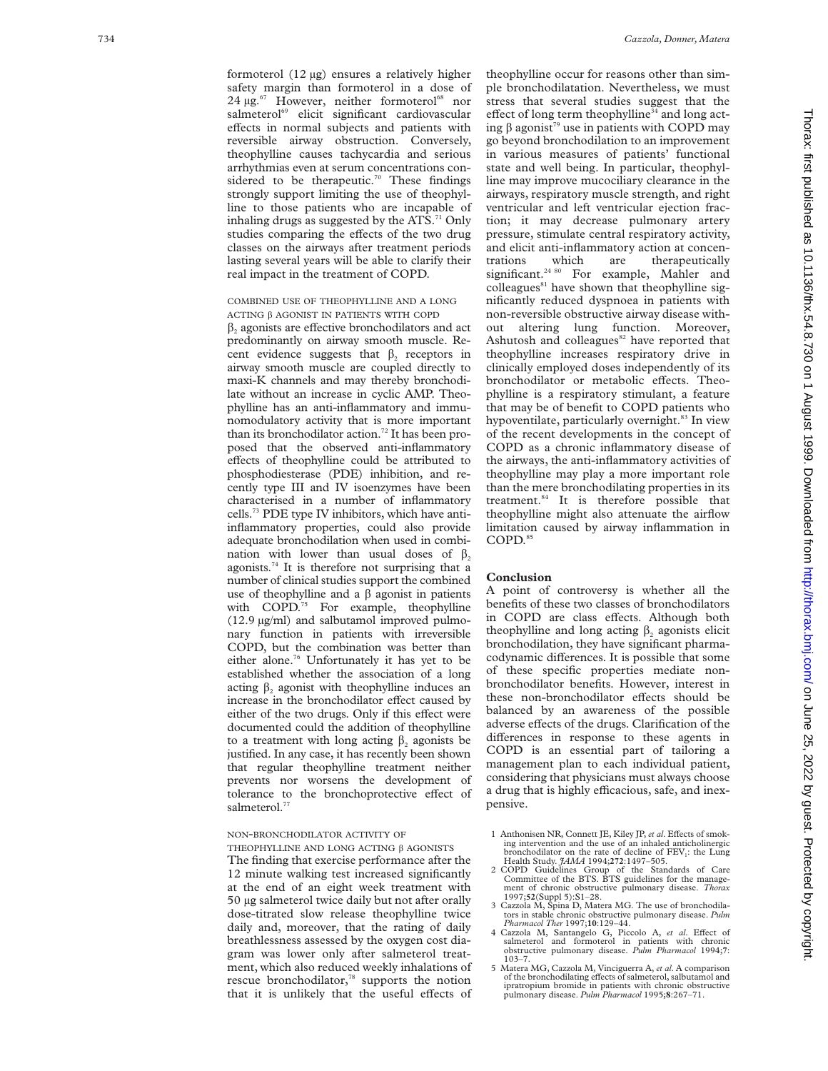formoterol (12 µg) ensures a relatively higher safety margin than formoterol in a dose of  $24 \mu$ g.<sup>67</sup> However, neither formoterol<sup>68</sup> nor salmeterol<sup>69</sup> elicit significant cardiovascular effects in normal subjects and patients with reversible airway obstruction. Conversely, theophylline causes tachycardia and serious arrhythmias even at serum concentrations considered to be therapeutic.<sup>70</sup> These findings strongly support limiting the use of theophylline to those patients who are incapable of inhaling drugs as suggested by the ATS. $71$  Only studies comparing the effects of the two drug classes on the airways after treatment periods lasting several years will be able to clarify their real impact in the treatment of COPD.

## COMBINED USE OF THEOPHYLLINE AND A LONG ACTING â AGONIST IN PATIENTS WITH COPD

 $\beta_2$  agonists are effective bronchodilators and act predominantly on airway smooth muscle. Recent evidence suggests that  $\beta$ , receptors in airway smooth muscle are coupled directly to maxi-K channels and may thereby bronchodilate without an increase in cyclic AMP. Theophylline has an anti-inflammatory and immunomodulatory activity that is more important than its bronchodilator action.<sup>72</sup> It has been proposed that the observed anti-inflammatory effects of theophylline could be attributed to phosphodiesterase (PDE) inhibition, and recently type III and IV isoenzymes have been characterised in a number of inflammatory cells.73 PDE type IV inhibitors, which have antiinflammatory properties, could also provide adequate bronchodilation when used in combination with lower than usual doses of  $\beta$ . agonists.<sup>74</sup> It is therefore not surprising that a number of clinical studies support the combined use of theophylline and a  $\beta$  agonist in patients with COPD.<sup>75</sup> For example, theophylline (12.9 µg/ml) and salbutamol improved pulmonary function in patients with irreversible COPD, but the combination was better than either alone.<sup>76</sup> Unfortunately it has yet to be established whether the association of a long acting  $\beta_2$  agonist with theophylline induces an increase in the bronchodilator effect caused by either of the two drugs. Only if this effect were documented could the addition of theophylline to a treatment with long acting  $\beta_2$  agonists be justified. In any case, it has recently been shown that regular theophylline treatment neither prevents nor worsens the development of tolerance to the bronchoprotective effect of salmeterol.<sup>77</sup>

## NON -BRONCHODILATOR ACTIVITY OF

THEOPHYLLINE AND LONG ACTING â AGONISTS

The finding that exercise performance after the 12 minute walking test increased significantly at the end of an eight week treatment with 50 µg salmeterol twice daily but not after orally dose-titrated slow release theophylline twice daily and, moreover, that the rating of daily breathlessness assessed by the oxygen cost diagram was lower only after salmeterol treatment, which also reduced weekly inhalations of rescue bronchodilator,<sup>78</sup> supports the notion that it is unlikely that the useful effects of

theophylline occur for reasons other than simple bronchodilatation. Nevertheless, we must stress that several studies suggest that the effect of long term theophylline<sup>34</sup> and long acting  $\beta$  agonist<sup>79</sup> use in patients with COPD may go beyond bronchodilation to an improvement in various measures of patients' functional state and well being. In particular, theophylline may improve mucociliary clearance in the airways, respiratory muscle strength, and right ventricular and left ventricular ejection fraction; it may decrease pulmonary artery pressure, stimulate central respiratory activity, and elicit anti-inflammatory action at concentrations which are therapeutically significant.<sup>24 80</sup> For example, Mahler and colleagues<sup>81</sup> have shown that theophylline significantly reduced dyspnoea in patients with non-reversible obstructive airway disease without altering lung function. Moreover, Ashutosh and colleagues $82$  have reported that theophylline increases respiratory drive in clinically employed doses independently of its bronchodilator or metabolic effects. Theophylline is a respiratory stimulant, a feature that may be of benefit to COPD patients who hypoventilate, particularly overnight.<sup>83</sup> In view of the recent developments in the concept of COPD as a chronic inflammatory disease of the airways, the anti-inflammatory activities of theophylline may play a more important role than the mere bronchodilating properties in its treatment.84 It is therefore possible that theophylline might also attenuate the airflow limitation caused by airway inflammation in COPD.85

#### **Conclusion**

A point of controversy is whether all the benefits of these two classes of bronchodilators in COPD are class effects. Although both theophylline and long acting  $\beta_2$  agonists elicit bronchodilation, they have significant pharmacodynamic differences. It is possible that some of these specific properties mediate nonbronchodilator benefits. However, interest in these non-bronchodilator effects should be balanced by an awareness of the possible adverse effects of the drugs. Clarification of the differences in response to these agents in COPD is an essential part of tailoring a management plan to each individual patient, considering that physicians must always choose a drug that is highly efficacious, safe, and inexpensive.

- 1 Anthonisen NR, Connett JE, Kiley JP, *et al.* Effects of smoking intervention and the use of an inhaled anticholinergic bronchodilator on the rate of decline of FEV 1: the Lung Health Study. *JAMA* 1994;**272**:1497–505.
- 2 COPD Guidelines Group of the Standards of Care<br>Committee of the BTS. BTS guidelines for the manage-<br>ment of chronic obstructive pulmonary disease. *Thorax*<br>1997;**52**(Suppl 5):S1–28.
- Cazzola M, Spina D, Matera MG. The use of bronchodilators in stable chronic obstructive pulmonary disease. *Pulm*<br> *Pharmacol Ther* 1997;**10**:129–44.<br>
4 Cazzola M, Santangelo G, Piccolo A, *et al*. Effect of
- salmeterol and formoterol in patients with chronic obstructive pulmonary disease. *Pulm Pharmacol* 1994; **7** obstructive pulmonary disease. Pulm Pharmacol 1994;7:<br>103–7.<br>5 Matera MG, Cazzola M, Vinciguerra A, *et al*. A comparison
- of the bronchodilating effects of salmeterol, salbutamol and ipratropium bromide in patients with chronic obstructive pulmonary disease. *Pulm Pharmacol* 1995; **8**:267–71.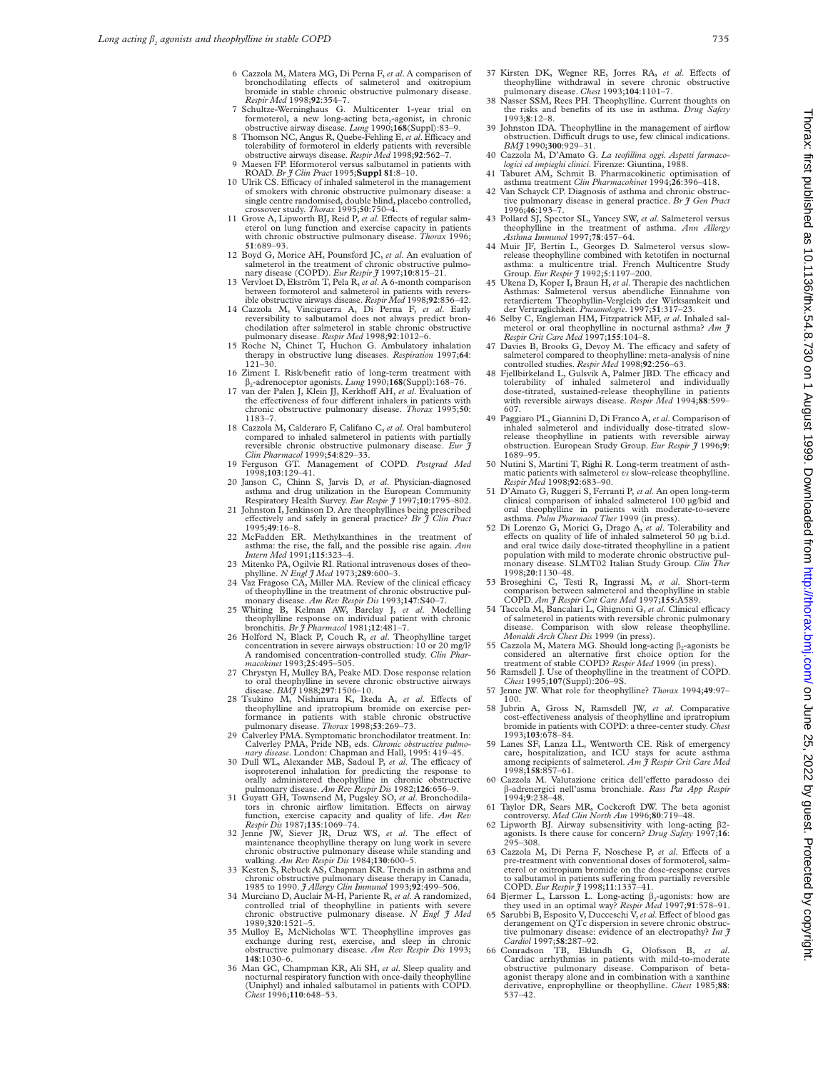- 6 Cazzola M, Matera MG, Di Perna F, *et al*. A comparison of bronchodilating effects of salmeterol and oxitropium bromide in stable chronic obstructive pulmonary disease. *Respir Med* 1998;**92**:354–7.
- 7 Schultze-Werninghaus G. Multicenter 1-year trial on formoterol, a new long-acting beta<sub>2</sub>-agonist, in chronic obstructive airway disease. *Lung* 1990;**168**(Suppl):83–9.
- 8 Thomson NC, Angus R, Quebe-Fehling E, et al. Efficacy and tolerability of formoterol in elderly patients with reversible obstructive airways disease. Respir Med 1998;92:562-7.<br>9 Maesen FP. Eformoterol versus salbutamol i
- 
- ROAD. *Br J Clin Pract* 1995; **Suppl 81**:8-10.<br>10 Ulrik CS. Efficacy of inhaled salmeterol in the management of smokers with chronic obstructive pulmonary disease: a single centre randomised, double blind, placebo controlled, crossover study. *Thorax* 1995;**50**:750–4.
- 11 Grove A, Lipworth BJ, Reid P, et al. Effects of regular salmeterol on lung function and exercise capacity in patients with chronic obstructive pulmonary disease. *Thorax* 1996; **51**:689–93.
- 12 Boyd G, Morice AH, Pounsford JC, *et al.* An evaluation of salmeterol in the treatment of chronic obstructive pulmonary disease (COPD). *Eur Respir* **3** 1997;10:815-21.<br>13 Vervloet D, Ekström T, Pela R, *et al.* A 6-mo
- between formoterol and salmeterol in patients with reversible obstructive airways disease. *Respir Med* 1998;**92**:836–42.
- 14 Cazzola M, Vinciguerra A, Di Perna F, *et al*. Early reversibility to salbutamol does not always predict bronchodilation after salmeterol in stable chronic obstructive pulmonary disease. *Respir Med* 1998;**92**:1012–6.
- 15 Roche N, Chinet T, Huchon G. Ambulatory inhalation therapy in obstructive lung diseases. *Respiration* 1997;**64**:  $121 - 30.$
- 16 Ziment I. Risk/benefit ratio of long-term treatment with â2-adrenoceptor agonists. *Lung* 1990;**168**(Suppl):168–76. 17 van der Palen J, Klein JJ, Kerkhoff AH, et al. Evaluation of
- the effectiveness of four different inhalers in patients with chronic obstructive pulmonary disease. *Thorax* 1995;**50**: 1183–7.
- 18 Cazzola M, Calderaro F, Califano C, *et al*. Oral bambuterol compared to inhaled salmeterol in patients with partially reversible chronic obstructive pulmonary disease. *Eur J Clin Pharmacol* 1999;**54**:829–33.
- 19 Ferguson GT. Management of COPD. *Postgrad Med* 1998;**103**:129–41.
- 20 Janson C, Chinn S, Jarvis D, *et al*. Physician-diagnosed asthma and drug utilization in the European Community Respiratory Health Survey. *Eur Respir J* 1997;**10**:1795–802.
- 21 Johnston I, Jenkinson D. Are theophyllines being prescribed effectively and safely in general practice? *Br J Clin Pract* 1995;**49**:16–8. 22 McFadden ER. Methylxanthines in the treatment of
- asthma: the rise, the fall, and the possible rise again. *Ann Intern Med* 1991;**115**:323–4.
- 23 Mitenko PA, Ogilvie RI. Rational intravenous doses of theophylline. *N Engl J Med* 1973;289:600-3.<br>24 Vaz Fragoso CA, Miller MA. Review of the clinical efficacy
- of theophylline in the treatment of chronic obstructive pulmonary disease. *Am Rev Respir Dis* 1993;**147**:S40–7.
- 25 Whiting B, Kelman AW, Barclay J, *et al*. Modelling theophylline response on individual patient with chronic bronchitis. *Br J Pharmacol* 1981;**12**:481–7.
- 26 Holford N, Black P, Couch R, *et al*. Theophylline target concentration in severe airways obstruction: 10 or 20 mg/l? A randomised concentration-controlled study. *Clin Pharmacokinet* 1993;**25**:495–505.
- 27 Chrystyn H, Mulley BA, Peake MD. Dose response relation to oral theophylline in severe chronic obstructive airways disease. *BMJ* 1988;**297**:1506–10.
- 28 Tsukino M, Nishimura K, Ikeda A, *et al*. Effects of theophylline and ipratropium bromide on exercise per-<br>formance in patients with stable chronic obstructive<br>pulmonary disease. *Thorax* 1998;**53**:269–73.
- 29 Calverley PMA. Symptomatic bronchodilator treatment. In:
- Calverley PMA, Pride NB, eds. Chronic obstructive pulmo-<br>nary disease. London: Chapman and Hall, 1995: 419-45.<br>30 Dull WL, Alexander MB, Sadoul P, et al. The efficacy of<br>isoproterenol inhalation for predicting the response
- 31 Guyatt GH, Townsend M, Pugsley SO, et al. Bronchodilators in chronic airflow limitation. Effects on airway<br>function, exercise capacity and quality of life. Am Rev<br> $Respir Dis 1987;135:1069-74$ .<br>32 Jenne JW, Siever JR, Druz WS,
- maintenance theophylline therapy on lung work in severe
- chronic obstructive pulmonary disease while standing and<br>walking. Am Rev Respir Dis 1984;130:600-5.<br>33 Kesten S, Rebuck AS, Chapman KR. Trends in asthma and<br>chronic obstructive pulmonary disease therapy in Canada,
- 1985 to 1990. *J Allergy Clin Immunol* 1993;**92**:499–506. 34 Murciano D, Auclair M-H, Pariente R, *et al*. A randomized, controlled trial of theophylline in patients with severe chronic obstructive pulmonary disease. *N Engl J Med* 1989;**320**:1521–5.
- 35 Mulloy E, McNicholas WT. Theophylline improves gas exchange during rest, exercise, and sleep in chronic obstructive pulmonary disease. *Am Rev Respir Dis* 1993; **148**:1030–6.
- 36 Man GC, Champman KR, Ali SH, *et al*. Sleep quality and nocturnal respiratory function with once-daily theophylline (Uniphyl) and inhaled salbutamol in patients with COPD. *Chest* 1996;**110**:648–53.
- 37 Kirsten DK, Wegner RE, Jorres RA, *et al*. Effects of theophylline withdrawal in severe chronic obstructive pulmonary disease. *Chest* 1993;**104**:1101–7.
- Nasser SSM, Rees PH. Theophylline. Current thoughts on the risks and benefits of its use in asthma. *Drug Safety* 1993;**8**:12–8.
- Johnston IDA. Theophylline in the management of airflow obstruction. Difficult drugs to use, few clinical indications. *BMJ* 1990;**300**:929–31.
- 40 Cazzola M, D'Amato G. La teofillina oggi. Aspetti farmaco-<br>logici ed impieghi clinici. Firenze: Giuntina, 1988.<br>41 Taburet AM, Schmit B. Pharmacokinetic optimisation of<br>asthma treatment Clin Pharmacokinet 1994;26:396-41
- 42 Van Schayck CP. Diagnosis of asthma and chronic obstruc-
- tive pulmonary disease in general practice. *Br J Gen Pract* 1996;**46**:193–7.
- 43 Pollard SJ, Spector SL, Yancey SW, *et al*. Salmeterol versus theophylline in the treatment of asthma. *Ann Allergy Asthma Immunol* 1997;**78**:457–64.
- 44 Muir JF, Bertin L, Georges D. Salmeterol versus slowrelease theophylline combined with ketotifen in nocturnal asthma: a multicentre trial. French Multicentre Study Group. *Eur Respir J* 1992;**5**:1197–200.
- 45 Ukena D, Koper I, Braun H, *et al*. Therapie des nachtlichen Asthmas: Salmeterol versus abendliche Einnahme von retardiertem Theophyllin-Vergleich der Wirksamkeit und
- der Vertraglichkeit. *Pneumologie.* 1997;51:317-23.<br>46 Selby C, Engleman HM, Fitzpatrick MF, et al. Inhaled salmeterol or oral theophylline in nocturnal asthma? Am  $\hat{\jmath}$  Respir Crit Care Med 1997;155:104-8.
- Davies B, Brooks G, Devoy M. The efficacy and safety of salmeterol compared to theophylline: meta-analysis of nine controlled studies. *Respir Med* 1998;**92**:256–63.
- 48 Fjellbirkeland L, Gulsvik A, Palmer JBD. The efficacy and tolerability of inhaled salmeterol and individually dose-titrated, sustained-release theophylline in patients with reversible airways disease. *Respir Med* 1994;**88**:599– 607.
- 49 Paggiaro PL, Giannini D, Di Franco A, *et al*. Comparison of inhaled salmeterol and individually dose-titrated slowrelease theophylline in patients with reversible airway obstruction. European Study Group. *Eur Respir J* 1996;**9**: 1689–95.
- 50 Nutini S, Martini T, Righi R. Long-term treatment of asth-matic patients with salmeterol *vs* slow-release theophylline. *Respir Med* 1998;**92**:683–90.
- 51 D'Amato G, Ruggeri S, Ferranti P, *et al*. An open long-term clinical comparison of inhaled salmeterol 100 µg/bid and oral theophylline in patients with moderate-to-severe asthma. *Pulm Pharmacol Ther* 1999 (in press).
- 52 Di Lorenzo G, Morici G, Drago A, *et al*. Tolerability and effects on quality of life of inhaled salmeterol 50 µg b.i.d. and oral twice daily dose-titrated theophylline in a patient population with mild to moderate chronic obstructive pulmonary disease. SLMT02 Italian Study Group. *Clin Ther* 1998;**20**:1130–48.
- 53 Broseghini C, Testi R, Ingrassi M, *et al*. Short-term comparison between salmeterol and theophylline in stable COPD. *Am J Respir Crit Care Med* 1997;**155**:A589.
- 54 Taccola M, Bancalari L, Ghignoni G, et al. Clinical efficacy of salmeterol in patients with reversible chronic pulmonary disease. Comparison with slow release theophylline. *Monaldi Arch Chest Dis* 1999 (in press).
- 55 Cazzola M, Matera MG. Should long-acting  $\beta_2$ -agonists be considered an alternative first choice option for the treatment of stable COPD? *Respir Med* 1999 (in press).
- 56 Ramsdell J. Use of theophylline in the treatment of COPD. *Chest* 1995;**107**(Suppl):206–9S.
- 57 Jenne JW. What role for theophylline? *Thorax* 1994;**49**:97– 100. 58 Jubrin A, Gross N, Ramsdell JW, *et al*. Comparative
- cost-effectiveness analysis of theophylline and ipratropium bromide in patients with COPD: a three-center study. *Chest* 1993;**103**:678–84.
- 59 Lanes SF, Lanza LL, Wentworth CE. Risk of emergency care, hospitalization, and ICU stays for acute asthma among recipients of salmeterol. *Am J Respir Crit Care Med* 1998;**158**:857–61.
- 60 Cazzola M. Valutazione critica dell'effetto paradosso dei β-adrenergici nell'asma bronchiale. *Rass Pat App Respir* 1994;**9**:238–48.
- 61 Taylor DR, Sears MR, Cockcroft DW. The beta agonist controversy. *Med Clin North Am* 1996;**80**:719–48.
- 62 Lipworth BJ. Airway subsensitivity with long-acting  $\beta$ 2agonists. Is there cause for concern? *Drug Safety* 1997;**16**: 295–308.
- 63 Cazzola M, Di Perna F, Noschese P, et al. Effects of a pre-treatment with conventional doses of formoterol, salm-eterol or oxitropium bromide on the dose-response curves to salbutamol in patients suffering from partially reversible
- COPD. *Eur Respir*  $\hat{\jmath}$  1998;11:1337–41.<br>64 Bjermer L, Larsson L. Long-acting  $\beta_2$ -agonists: how are
- they used in an optimal way? *Respir Med* 1997;91:578–91.<br>65 Sarubbi B, Esposito V, Ducceschi V, et al. Effect of blood gas derangement on QTc dispersion in severe chronic obstructive pulmonary disease: evidence of an electropathy? *Int J*
- *Cardiol* 1997;**58**:287–92. 66 Conradson TB, Eklundh G, Olofsson B, *et al*. Cardiac arrhythmias in patients with mild-to-moderate obstructive pulmonary disease. Comparison of betaagonist therapy alone and in combination with a xanthine derivative, enprophylline or theophylline. *Chest* 1985;**88**: 537–42.